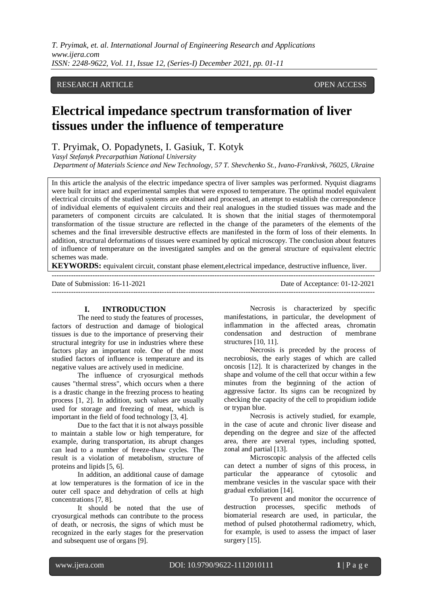## RESEARCH ARTICLE **CONSERVERS** OPEN ACCESS

# **Electrical impedance spectrum transformation of liver tissues under the influence of temperature**

## T. Pryimak, O. Popadynets, I. Gasiuk, T. Kotyk

*Vasyl Stefanyk Precarpathian National University*

*Department of Materials Science and New Technology, 57 T. Shevchenko St., Ivano-Frankivsk, 76025, Ukraine*

In this article the analysis of the electric impedance spectra of liver samples was performed. Nyquist diagrams were built for intact and experimental samples that were exposed to temperature. The optimal model equivalent electrical circuits of the studied systems are obtained and processed, an attempt to establish the correspondence of individual elements of equivalent circuits and their real analogues in the studied tissues was made and the parameters of component circuits are calculated. It is shown that the initial stages of thermotemporal transformation of the tissue structure are reflected in the change of the parameters of the elements of the schemes and the final irreversible destructive effects are manifested in the form of loss of their elements. In addition, structural deformations of tissues were examined by optical microscopy. The conclusion about features of influence of temperature on the investigated samples and on the general structure of equivalent electric schemes was made.

**KEYWORDS:** equivalent circuit, constant phase element,electrical impedance, destructive influence, liver.

---------------------------------------------------------------------------------------------------------------------------------------

| Date of Submission: 16-11-2021 | Date of Acceptance: 01-12-2021 |
|--------------------------------|--------------------------------|

#### **I. INTRODUCTION**

The need to study the features of processes, factors of destruction and damage of biological tissues is due to the importance of preserving their structural integrity for use in industries where these factors play an important role. One of the most studied factors of influence is temperature and its negative values are actively used in medicine.

The influence of cryosurgical methods causes "thermal stress", which occurs when a there is a drastic change in the freezing process to heating process [1, 2]. In addition, such values are usually used for storage and freezing of meat, which is important in the field of food technology [3, 4].

Due to the fact that it is not always possible to maintain a stable low or high temperature, for example, during transportation, its abrupt changes can lead to a number of freeze-thaw cycles. The result is a violation of metabolism, structure of proteins and lipids [5, 6].

In addition, an additional cause of damage at low temperatures is the formation of ice in the outer cell space and dehydration of cells at high concentrations [7, 8].

It should be noted that the use of cryosurgical methods can contribute to the process of death, or necrosis, the signs of which must be recognized in the early stages for the preservation and subsequent use of organs [9].

Necrosis is characterized by specific manifestations, in particular, the development of inflammation in the affected areas, chromatin condensation and destruction of membrane structures [10, 11].

Necrosis is preceded by the process of necrobiosis, the early stages of which are called oncosis [12]. It is characterized by changes in the shape and volume of the cell that occur within a few minutes from the beginning of the action of aggressive factor. Its signs can be recognized by checking the capacity of the cell to propidium iodide or trypan blue.

Necrosis is actively studied, for example, in the case of acute and chronic liver disease and depending on the degree and size of the affected area, there are several types, including spotted, zonal and partial [13].

Microscopic analysis of the affected cells can detect a number of signs of this process, in particular the appearance of cytosolic and membrane vesicles in the vascular space with their gradual exfoliation [14].

To prevent and monitor the occurrence of destruction processes, specific methods of biomaterial research are used, in particular, the method of pulsed photothermal radiometry, which, for example, is used to assess the impact of laser surgery [15].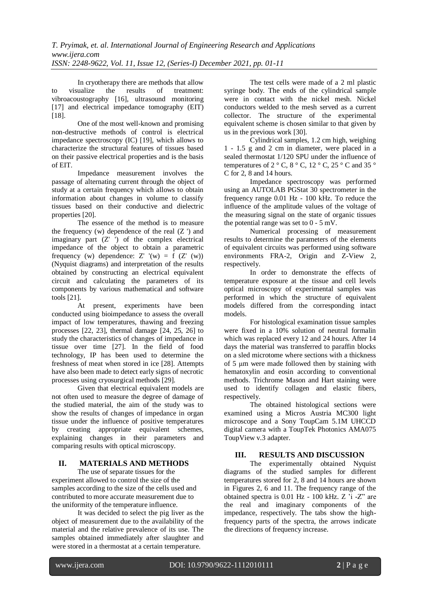In cryotherapy there are methods that allow to visualize the results of treatment: vibroacoustography [16], ultrasound monitoring [17] and electrical impedance tomography (EIT) [18].

One of the most well-known and promising non-destructive methods of control is electrical impedance spectroscopy (IC) [19], which allows to characterize the structural features of tissues based on their passive electrical properties and is the basis of EIT.

Impedance measurement involves the passage of alternating current through the object of study at a certain frequency which allows to obtain information about changes in volume to classify tissues based on their conductive and dielectric properties [20].

The essence of the method is to measure the frequency  $(w)$  dependence of the real  $(Z')$  and imaginary part  $(Z'')$  of the complex electrical impedance of the object to obtain a parametric frequency (w) dependence:  $Z'$  '(w) = f ( $Z'$  (w)) (Nyquist diagrams) and interpretation of the results obtained by constructing an electrical equivalent circuit and calculating the parameters of its components by various mathematical and software tools [21].

At present, experiments have been conducted using bioimpedance to assess the overall impact of low temperatures, thawing and freezing processes [22, 23], thermal damage [24, 25, 26] to study the characteristics of changes of impedance in tissue over time [27]. In the field of food technology, IP has been used to determine the freshness of meat when stored in ice [28]. Attempts have also been made to detect early signs of necrotic processes using cryosurgical methods [29].

Given that electrical equivalent models are not often used to measure the degree of damage of the studied material, the aim of the study was to show the results of changes of impedance in organ tissue under the influence of positive temperatures by creating appropriate equivalent schemes, explaining changes in their parameters and comparing results with optical microscopy.

### **II. MATERIALS AND METHODS**

The use of separate tissues for the experiment allowed to control the size of the samples according to the size of the cells used and contributed to more accurate measurement due to the uniformity of the temperature influence.

It was decided to select the pig liver as the object of measurement due to the availability of the material and the relative prevalence of its use. The samples obtained immediately after slaughter and were stored in a thermostat at a certain temperature.

The test cells were made of a 2 ml plastic syringe body. The ends of the cylindrical sample were in contact with the nickel mesh. Nickel conductors welded to the mesh served as a current collector. The structure of the experimental equivalent scheme is chosen similar to that given by us in the previous work [30].

Cylindrical samples, 1.2 cm high, weighing 1 - 1.5 g and 2 cm in diameter, were placed in a sealed thermostat 1/120 SPU under the influence of temperatures of 2  $\degree$  C, 8  $\degree$  C, 12  $\degree$  C, 25  $\degree$  C and 35  $\degree$ C for 2, 8 and 14 hours.

Impedance spectroscopy was performed using an AUTOLAB PGStat 30 spectrometer in the frequency range 0.01 Hz - 100 kHz. To reduce the influence of the amplitude values of the voltage of the measuring signal on the state of organic tissues the potential range was set to 0 - 5 mV.

Numerical processing of measurement results to determine the parameters of the elements of equivalent circuits was performed using software environments FRA-2, Origin and Z-View 2, respectively.

In order to demonstrate the effects of temperature exposure at the tissue and cell levels optical microscopy of experimental samples was performed in which the structure of equivalent models differed from the corresponding intact models.

For histological examination tissue samples were fixed in a 10% solution of neutral formalin which was replaced every 12 and 24 hours. After 14 days the material was transferred to paraffin blocks on a sled microtome where sections with a thickness of 5 μm were made followed then by staining with hematoxylin and eosin according to conventional methods. Trichrome Mason and Hart staining were used to identify collagen and elastic fibers, respectively.

The obtained histological sections were examined using a Micros Austria MC300 light microscope and a Sony ToupCam 5.1M UHCCD digital camera with a ToupTek Photonics AMA075 ToupView v.3 adapter.

## **III. RESULTS AND DISCUSSION**

The experimentally obtained Nyquist diagrams of the studied samples for different temperatures stored for 2, 8 and 14 hours are shown in Figures 2, 6 and 11. The frequency range of the obtained spectra is 0.01 Hz - 100 kHz. Z 'i -Z" are the real and imaginary components of the impedance, respectively. The tabs show the highfrequency parts of the spectra, the arrows indicate the directions of frequency increase.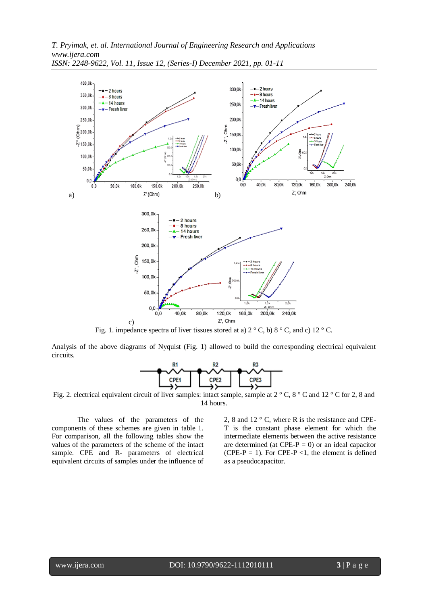

*ISSN: 2248-9622, Vol. 11, Issue 12, (Series-I) December 2021, pp. 01-11*

Fig. 1. impedance spectra of liver tissues stored at a)  $2^{\circ}$  C, b)  $8^{\circ}$  C, and c)  $12^{\circ}$  C.

Analysis of the above diagrams of Nyquist (Fig. 1) allowed to build the corresponding electrical equivalent circuits.



Fig. 2. electrical equivalent circuit of liver samples: intact sample, sample at 2 ° C, 8 ° C and 12 ° C for 2, 8 and 14 hours.

The values of the parameters of the components of these schemes are given in table 1. For comparison, all the following tables show the values of the parameters of the scheme of the intact sample. CPE and R- parameters of electrical equivalent circuits of samples under the influence of 2, 8 and 12 ° C, where R is the resistance and CPE-T is the constant phase element for which the intermediate elements between the active resistance are determined (at CPE-P = 0) or an ideal capacitor (CPE-P = 1). For CPE-P <1, the element is defined as a pseudocapacitor.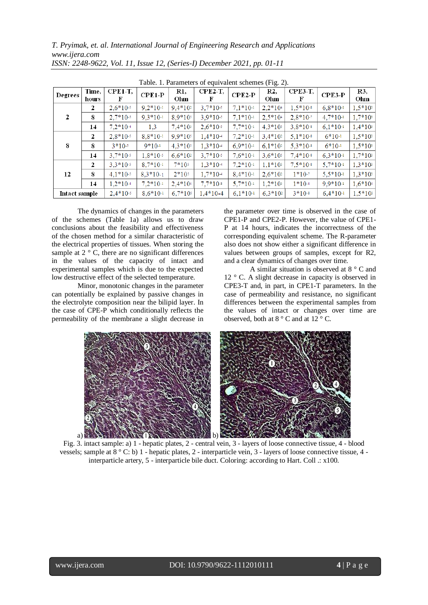| radic. T. Farameters of equivalent senemes $(115, 2)$ . |                |              |            |            |                 |            |            |                     |            |            |
|---------------------------------------------------------|----------------|--------------|------------|------------|-----------------|------------|------------|---------------------|------------|------------|
| Degrees                                                 | Time,<br>hours | CPE1-T,<br>F | $CPE1-P$   | R1,<br>Ohm | $CPE2-T$ ,<br>F | $CPE2-P$   | R2.<br>Ohm | <b>CPE3-T.</b><br>F | $CPE3-P$   | R3,<br>Ohm |
| 2                                                       | 2              | $2.6*10-s$   | $9.2*10-1$ | $9.4*102$  | $3.7*10-5$      | $7.1*10-1$ | $2.2*104$  | $1.5*10-s$          | $6.8*101$  | $1,5*10$   |
|                                                         | 8              | $2,7*10-5$   | $9,3*10-1$ | $8.9*105$  | $3,9*10-5$      | $7,1*10-1$ | $2,5*10+$  | $2,8*10-7$          | $4,7*10-1$ | $1,7*10$   |
|                                                         | 14             | $7,2*10-4$   | 1.3        | $7,4*10$   | $2,6*10-5$      | $7,7*10-1$ | $4.3*105$  | $3,8*10-s$          | $6,1*10-1$ | $1,4*10$   |
| 8                                                       | 2              | $2,8*10.5$   | $8,8*10-1$ | $9.9*105$  | $1.4*10-4$      | $7.2*10-1$ | $3.4*10^2$ | $5,1*10*$           | $6*10-1$   | $1,5*10$   |
|                                                         | 8              | $3*10-5$     | $9*10-1$   | $4,3*105$  | $1.3*10-4$      | $6.9*10-1$ | $6.1*10^2$ | $5.3*10-s$          | $6*10-1$   | $1,5*10$   |
|                                                         | 14             | $3,7*10-5$   | $1.8*10-5$ | $6.6*10^2$ | $3,7*10-5$      | $7,6*10-1$ | $3.6*105$  | $7.4*10-s$          | $6.3*10-1$ | $1,7*10$   |
| 12                                                      | 2              | $3.3*10-5$   | $8.7*10-1$ | $7*105$    | $1.3*10-4$      | $7.2*10-1$ | $1,1*10$   | $7.5*10-s$          | $5.7*10-1$ | $1,3*10$   |
|                                                         | 8              | $4.1*10-5$   | $8,3*10-1$ | $2*10s$    | $1,7*10+$       | $8.4*10-1$ | $2,6*10^2$ | $1*10-7$            | $5,5*10-1$ | $1,3*10$   |
|                                                         | 14             | $1.2*10-4$   | $7.2*10-1$ | $2.4*104$  | $7,7*10-s$      | $5,7*10-1$ | $1.2*103$  | $1*10-4$            | $9.9*10-1$ | $1,6*104$  |
| Intact sample                                           |                | $2.4*10-5$   | $8.6*10-1$ | $6.7*10$   | $1.4*10-4$      | $6.1*10-1$ | $6.3*102$  | $3*10-s$            | $6.4*10-1$ | $1.5*10*$  |

Table. 1. Parameters of equivalent schemes (Fig. 2).

The dynamics of changes in the parameters of the schemes (Table 1a) allows us to draw conclusions about the feasibility and effectiveness of the chosen method for a similar characteristic of the electrical properties of tissues. When storing the sample at  $2^{\circ}$  C, there are no significant differences in the values of the capacity of intact and experimental samples which is due to the expected low destructive effect of the selected temperature.

Minor, monotonic changes in the parameter can potentially be explained by passive changes in the electrolyte composition near the bilipid layer. In the case of CPE-P which conditionally reflects the permeability of the membrane a slight decrease in the parameter over time is observed in the case of CPE1-P and CPE2-P. However, the value of CPE1- P at 14 hours, indicates the incorrectness of the corresponding equivalent scheme. The R-parameter also does not show either a significant difference in values between groups of samples, except for R2, and a clear dynamics of changes over time.

A similar situation is observed at 8 ° C and 12 ° C. A slight decrease in capacity is observed in CPE3-T and, in part, in CPE1-T parameters. In the case of permeability and resistance, no significant differences between the experimental samples from the values of intact or changes over time are observed, both at 8 ° C and at 12 ° C.



Fig. 3. intact sample: a) 1 - hepatic plates, 2 - central vein, 3 - layers of loose connective tissue, 4 - blood vessels; sample at 8 ° C: b) 1 - hepatic plates, 2 - interparticle vein, 3 - layers of loose connective tissue, 4 interparticle artery, 5 - interparticle bile duct. Coloring: according to Hart. Coll .: x100.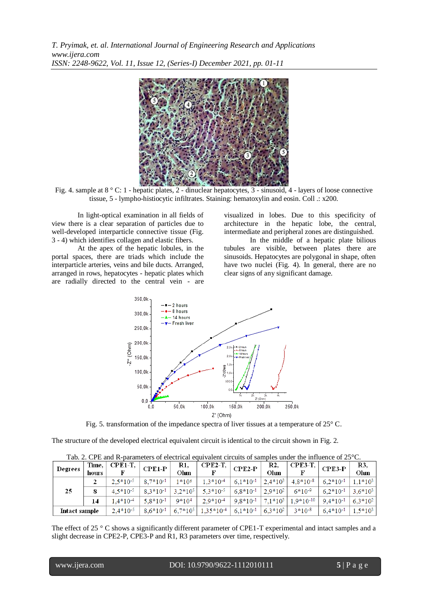

Fig. 4. sample at 8 ° C: 1 - hepatic plates, 2 - dinuclear hepatocytes, 3 - sinusoid, 4 - layers of loose connective tissue, 5 - lympho-histiocytic infiltrates. Staining: hematoxylin and eosin. Coll .: x200.

In light-optical examination in all fields of view there is a clear separation of particles due to well-developed interparticle connective tissue (Fig. 3 - 4) which identifies collagen and elastic fibers.

At the apex of the hepatic lobules, in the portal spaces, there are triads which include the interparticle arteries, veins and bile ducts. Arranged, arranged in rows, hepatocytes - hepatic plates which are radially directed to the central vein - are visualized in lobes. Due to this specificity of architecture in the hepatic lobe, the central, intermediate and peripheral zones are distinguished.

In the middle of a hepatic plate bilious tubules are visible, between plates there are sinusoids. Hepatocytes are polygonal in shape, often have two nuclei (Fig. 4). In general, there are no clear signs of any significant damage.



Fig. 5. transformation of the impedance spectra of liver tissues at a temperature of 25° C.

The structure of the developed electrical equivalent circuit is identical to the circuit shown in Fig. 2.

| <b>Degrees</b> | Time.<br>hours | CPE1-T,       | $CPE1-P$      | R1.<br>Ohm   | $CPE2-T$      | $\mathbf{CPE2-P}$ | R2.<br>Ohm   | <b>CPE3-T,</b> | $CPE3-P$      | R3,<br>Ohm |
|----------------|----------------|---------------|---------------|--------------|---------------|-------------------|--------------|----------------|---------------|------------|
| 25             |                | $2.5*10^{-5}$ | $8.7*10^{-1}$ | 1*106        | $1,3*10^{-4}$ | $6.1*10^{-1}$     | $2.4*10^3$   | $4,8*10-8$     | $6.2*10^{-1}$ | $1,1*10^3$ |
|                |                | $4.5*10^{-5}$ | $8.3*10^{-1}$ | $3.2*10^5$   | $5.3*10^{-5}$ | $6.8*10^{-1}$     | $2.9*10^{2}$ | $6*10-9$       | $6.2*10^{-1}$ | $3.6*10^3$ |
|                | 14             | $1.4*10^{-4}$ | $5.8*10^{-1}$ | $9*104$      | $2.9*10^{-4}$ | $9.8*10^{-1}$     | $7.1*10^3$   | $1.9*10-10$    | $9.4*10^{-1}$ | $6.3*102$  |
| Intact sample  |                | $2.4*10^{-5}$ | $8.6*10^{-1}$ | $6.7*10^{5}$ | $1,35*10-4$   | $6,1*10^{-1}$     | $6,3*10^2$   | $3*10-8$       | $6.4*10^{-1}$ | $1,5*10^3$ |

Tab. 2. CPE and R-parameters of electrical equivalent circuits of samples under the influence of 25<sup>°</sup>C.

The effect of 25 ° C shows a significantly different parameter of CPE1-T experimental and intact samples and a slight decrease in CPE2-P, CPE3-P and R1, R3 parameters over time, respectively.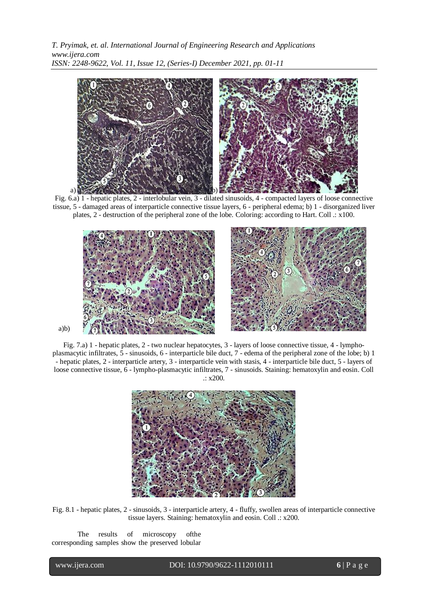

Fig. 6.a) 1 - hepatic plates, 2 - interlobular vein, 3 - dilated sinusoids, 4 - compacted layers of loose connective tissue, 5 - damaged areas of interparticle connective tissue layers, 6 - peripheral edema; b) 1 - disorganized liver plates, 2 - destruction of the peripheral zone of the lobe. Coloring: according to Hart. Coll .: x100.



Fig. 7.a) 1 - hepatic plates, 2 - two nuclear hepatocytes, 3 - layers of loose connective tissue, 4 - lymphoplasmacytic infiltrates, 5 - sinusoids, 6 - interparticle bile duct, 7 - edema of the peripheral zone of the lobe; b) 1 - hepatic plates, 2 - interparticle artery, 3 - interparticle vein with stasis, 4 - interparticle bile duct, 5 - layers of loose connective tissue, 6 - lympho-plasmacytic infiltrates, 7 - sinusoids. Staining: hematoxylin and eosin. Coll .: x200.



Fig. 8.1 - hepatic plates, 2 - sinusoids, 3 - interparticle artery, 4 - fluffy, swollen areas of interparticle connective tissue layers. Staining: hematoxylin and eosin. Coll .: x200.

The results of microscopy ofthe corresponding samples show the preserved lobular

l

www.ijera.com DOI: 10.9790/9622-1112010111 **6** | P a g e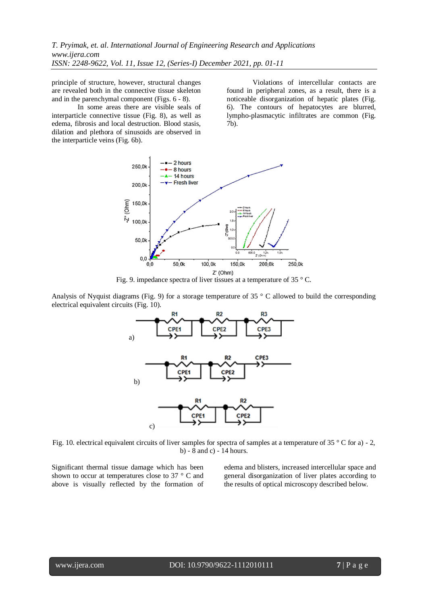principle of structure, however, structural changes are revealed both in the connective tissue skeleton and in the parenchymal component (Figs. 6 - 8).

In some areas there are visible seals of interparticle connective tissue (Fig. 8), as well as edema, fibrosis and local destruction. Blood stasis, dilation and plethora of sinusoids are observed in the interparticle veins (Fig. 6b).

Violations of intercellular contacts are found in peripheral zones, as a result, there is a noticeable disorganization of hepatic plates (Fig. 6). The contours of hepatocytes are blurred, lympho-plasmacytic infiltrates are common (Fig. 7b).



Fig. 9. impedance spectra of liver tissues at a temperature of 35  $\degree$  C.

Analysis of Nyquist diagrams (Fig. 9) for a storage temperature of 35  $\degree$  C allowed to build the corresponding electrical equivalent circuits (Fig. 10).



Fig. 10. electrical equivalent circuits of liver samples for spectra of samples at a temperature of 35 ° C for a) - 2, b) - 8 and c) - 14 hours.

Significant thermal tissue damage which has been shown to occur at temperatures close to 37 ° C and above is visually reflected by the formation of edema and blisters, increased intercellular space and general disorganization of liver plates according to the results of optical microscopy described below.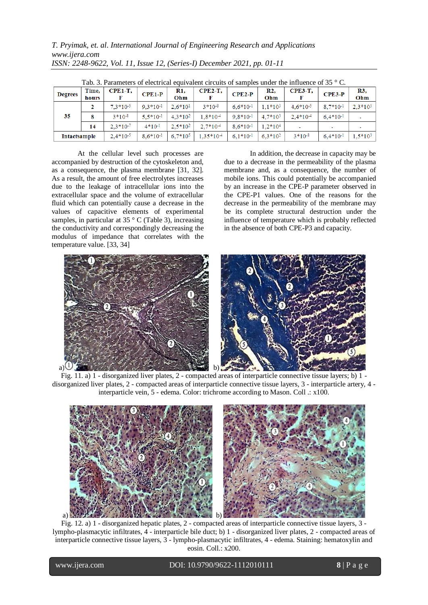| Tab. 3. Parameters of electrical equivalent circuits of samples under the influence of 35 $^{\circ}$ C. |                |               |               |              |             |               |                       |                |               |            |
|---------------------------------------------------------------------------------------------------------|----------------|---------------|---------------|--------------|-------------|---------------|-----------------------|----------------|---------------|------------|
| <b>Degrees</b>                                                                                          | Time,<br>hours | $CPE1-T$ ,    | $CPE1-P$      | R1,<br>Ohm   | $CPE2-T$ ,  | $CPE2-P$      | R <sub>2</sub><br>Ohm | <b>CPE3-T,</b> | $CPE3-P$      | R3,<br>Ohm |
| 35                                                                                                      |                | $7.3*10^{-5}$ | $9.3*10-1$    | $2.6*101$    | $3*10-8$    | $6.6*10^{-1}$ | $1.1*103$             | $4.6*10^{-5}$  | $8.7*10^{-1}$ | $2.3*105$  |
|                                                                                                         | 8              | $3*10-8$      | $5.5*10-1$    | $4.3*102$    | $1.8*10-4$  | $9.8*10-1$    | $4.7*10^3$            | $2.4*10-4$     | $6.4*10^{-1}$ |            |
|                                                                                                         | 14             | $2.3*10-7$    | $4*10-1$      | $2.5*102$    | $2.7*10-4$  | $8.6*10^{-1}$ | $1.2*104$             |                |               |            |
| Intactsample                                                                                            |                | $2.4*10^{-5}$ | $8.6*10^{-1}$ | $6.7*10^{5}$ | $1.35*10-4$ | $6.1*10-1$    | $6.3*102$             | $3*10-8$       | $6.4*10^{-1}$ | $1.5*10^3$ |

Tab. 3. Parameters of electrical equivalent circuits of samples under the influence of 35 ° C.

At the cellular level such processes are accompanied by destruction of the cytoskeleton and, as a consequence, the plasma membrane [31, 32]. As a result, the amount of free electrolytes increases due to the leakage of intracellular ions into the extracellular space and the volume of extracellular fluid which can potentially cause a decrease in the values of capacitive elements of experimental samples, in particular at 35 $\degree$  C (Table 3), increasing the conductivity and correspondingly decreasing the modulus of impedance that correlates with the temperature value. [33, 34]

In addition, the decrease in capacity may be due to a decrease in the permeability of the plasma membrane and, as a consequence, the number of mobile ions. This could potentially be accompanied by an increase in the CPE-P parameter observed in the CPE-P1 values. One of the reasons for the decrease in the permeability of the membrane may be its complete structural destruction under the influence of temperature which is probably reflected in the absence of both CPE-P3 and capacity.



Fig. 11. a) 1 - disorganized liver plates, 2 - compacted areas of interparticle connective tissue layers; b) 1 disorganized liver plates, 2 - compacted areas of interparticle connective tissue layers, 3 - interparticle artery, 4 interparticle vein, 5 - edema. Color: trichrome according to Mason. Coll .: x100.



Fig. 12. a) 1 - disorganized hepatic plates, 2 - compacted areas of interparticle connective tissue layers, 3 lympho-plasmacytic infiltrates, 4 - interparticle bile duct; b) 1 - disorganized liver plates, 2 - compacted areas of interparticle connective tissue layers, 3 - lympho-plasmacytic infiltrates, 4 - edema. Staining: hematoxylin and eosin. Coll.: x200.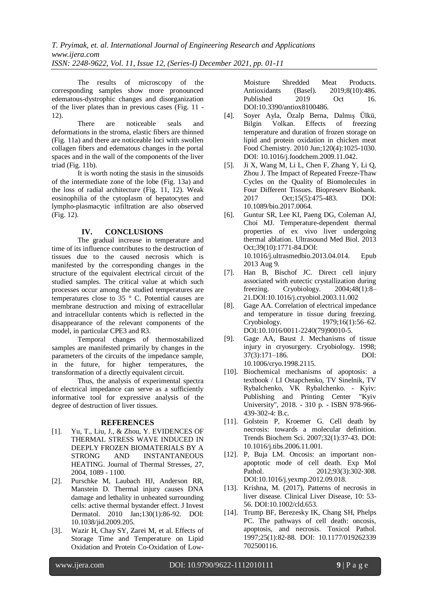The results of microscopy of the corresponding samples show more pronounced edematous-dystrophic changes and disorganization of the liver plates than in previous cases (Fig. 11 - 12).

There are noticeable seals and deformations in the stroma, elastic fibers are thinned (Fig. 11a) and there are noticeable loci with swollen collagen fibers and edematous changes in the portal spaces and in the wall of the components of the liver triad (Fig. 11b).

It is worth noting the stasis in the sinusoids of the intermediate zone of the lobe (Fig. 13a) and the loss of radial architecture (Fig. 11, 12). Weak eosinophilia of the cytoplasm of hepatocytes and lympho-plasmacytic infiltration are also observed (Fig. 12).

#### **IV. CONCLUSIONS**

The gradual increase in temperature and time of its influence contributes to the destruction of tissues due to the caused necrosis which is manifested by the corresponding changes in the structure of the equivalent electrical circuit of the studied samples. The critical value at which such processes occur among the studied temperatures are temperatures close to 35 ° C. Potential causes are membrane destruction and mixing of extracellular and intracellular contents which is reflected in the disappearance of the relevant components of the model, in particular CPE3 and R3.

Temporal changes of thermostabilized samples are manifested primarily by changes in the parameters of the circuits of the impedance sample, in the future, for higher temperatures, the transformation of a directly equivalent circuit.

Thus, the analysis of experimental spectra of electrical impedance can serve as a sufficiently informative tool for expressive analysis of the degree of destruction of liver tissues.

#### **REFERENCES**

- [1]. Yu, T., Liu, J., & Zhou, Y. EVIDENCES OF THERMAL STRESS WAVE INDUCED IN DEEPLY FROZEN BIOMATERIALS BY A STRONG AND INSTANTANEOUS HEATING. Journal of Thermal Stresses, 27, 2004, 1089 - 1100.
- [2]. Purschke M, Laubach HJ, Anderson RR, Manstein D. Thermal injury causes DNA damage and lethality in unheated surrounding cells: active thermal bystander effect. J Invest Dermatol. 2010 Jan;130(1):86-92. DOI: 10.1038/jid.2009.205.
- [3]. Wazir H, Chay SY, Zarei M, et al. Effects of Storage Time and Temperature on Lipid Oxidation and Protein Co-Oxidation of Low-

Moisture Shredded Meat Products. Antioxidants (Basel). 2019;8(10):486. Published 2019 Oct 16. DOI:10.3390/antiox8100486.

- [4]. Soyer Ayla, Özalp Berna, Dalmış Ülkü, Bilgin Volkan. Effects of freezing temperature and duration of frozen storage on lipid and protein oxidation in chicken meat Food Chemistry. 2010 Jun;120(4):1025-1030. DOI: 10.1016/j.foodchem.2009.11.042.
- [5]. Ji X, Wang M, Li L, Chen F, Zhang Y, Li Q, Zhou J. The Impact of Repeated Freeze-Thaw Cycles on the Quality of Biomolecules in Four Different Tissues. Biopreserv Biobank. 2017 Oct;15(5):475-483. DOI: 10.1089/bio.2017.0064.
- [6]. Guntur SR, Lee KI, Paeng DG, Coleman AJ, Choi MJ. Temperature-dependent thermal properties of ex vivo liver undergoing thermal ablation. Ultrasound Med Biol. 2013 Oct;39(10):1771-84.DOI: 10.1016/j.ultrasmedbio.2013.04.014. Epub 2013 Aug 9.
- [7]. Han B, Bischof JC. Direct cell injury associated with eutectic crystallization during freezing. Cryobiology. 2004;48(1):8– 21.DOI:10.1016/j.cryobiol.2003.11.002
- [8]. Gage AA. Correlation of electrical impedance and temperature in tissue during freezing. Cryobiology. 1979;16(1):56–62. DOI:10.1016/0011-2240(79)90010-5.
- [9]. Gage AA, Baust J. Mechanisms of tissue injury in cryosurgery. Cryobiology. 1998; 37(3):171–186. DOI: 10.1006/cryo.1998.2115.
- [10]. Biochemical mechanisms of apoptosis: a textbook / LI Ostapchenko, TV Sinelnik, TV Rybalchenko, VK Rybalchenko. - Kyiv: Publishing and Printing Center "Kyiv University", 2018. - 310 p. - ISBN 978-966- 439-302-4: B.c.
- [11]. Golstein P, Kroemer G. Cell death by necrosis: towards a molecular definition. Trends Biochem Sci. 2007;32(1):37‐43. DOI: 10.1016/j.tibs.2006.11.001.
- [12]. P, Buja LM. Oncosis: an important nonapoptotic mode of cell death. Exp Mol Pathol. 2012;93(3):302-308. DOI:10.1016/j.yexmp.2012.09.018.
- [13]. Krishna, M. (2017), Patterns of necrosis in liver disease. Clinical Liver Disease, 10: 53- 56. DO[I:10.1002/cld.653.](https://doi.org/10.1002/cld.653)
- [14]. Trump BF, Berezesky IK, Chang SH, Phelps PC. The pathways of cell death: oncosis, apoptosis, and necrosis. Toxicol Pathol. 1997;25(1):82‐88. DOI: 10.1177/019262339 702500116.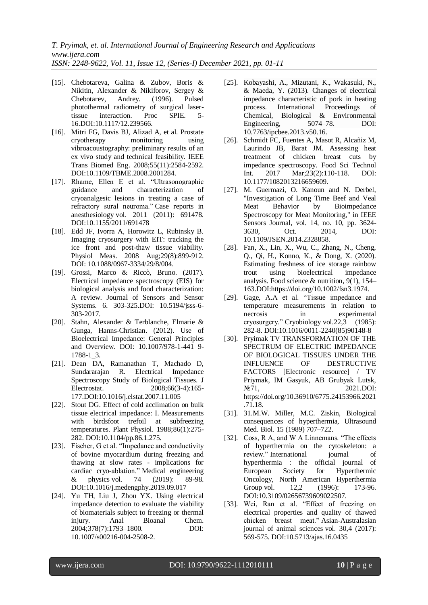- [15]. Chebotareva, Galina & Zubov, Boris & Nikitin, Alexander & Nikiforov, Sergey & Chebotarev, Andrey. (1996). Pulsed photothermal radiometry of surgical laser-<br>tissue interaction. Proc SPIE. 5tissue interaction. Proc SPIE. 5- 16.DOI:10.1117/12.239566.
- [16]. Mitri FG, Davis BJ, Alizad A, et al. Prostate cryotherapy monitoring using vibroacoustography: preliminary results of an ex vivo study and technical feasibility. IEEE Trans Biomed Eng. 2008;55(11):2584-2592. DOI:10.1109/TBME.2008.2001284.
- [17]. Rhame, Ellen E et al. "Ultrasonographic guidance and characterization of cryoanalgesic lesions in treating a case of refractory sural neuroma." Case reports in anesthesiology vol. 2011 (2011): 691478. DOI:10.1155/2011/691478
- [18]. Edd JF, Ivorra A, Horowitz L, Rubinsky B. Imaging cryosurgery with EIT: tracking the ice front and post-thaw tissue viability. Physiol Meas. 2008 Aug;29(8):899-912. DOI: 10.1088/0967-3334/29/8/004.
- [19]. Grossi, Marco & Riccò, Bruno. (2017). Electrical impedance spectroscopy (EIS) for biological analysis and food characterization: A review. Journal of Sensors and Sensor Systems. 6. 303-325.DOI: 10.5194/jsss-6- 303-2017.
- [20]. Stahn, Alexander & Terblanche, Elmarie & Gunga, Hanns-Christian. (2012). Use of Bioelectrical Impedance: General Principles and Overview. DOI: 10.1007/978-1-441 9- 1788-1\_3.
- [21]. Dean DA, Ramanathan T, Machado D, Sundararajan R. Electrical Impedance Spectroscopy Study of Biological Tissues. J Electrostat. 2008;66(3-4):165- 177.DOI:10.1016/j.elstat.2007.11.005
- [22]. Stout DG. Effect of cold acclimation on bulk tissue electrical impedance: I. Measurements with birdsfoot trefoil at subfreezing temperatures. Plant Physiol. 1988;86(1):275- 282. DOI:10.1104/pp.86.1.275.
- [23]. Fischer, G et al. "Impedance and conductivity of bovine myocardium during freezing and thawing at slow rates - implications for cardiac cryo-ablation." Medical engineering & physics vol. 74 (2019): 89-98. DOI:10.1016/j.medengphy.2019.09.017
- [24]. Yu TH, Liu J, Zhou YX. Using electrical impedance detection to evaluate the viability of biomaterials subject to freezing or thermal injury. Anal Bioanal Chem. 2004;378(7):1793–1800. DOI: 10.1007/s00216-004-2508-2.
- [25]. Kobayashi, A., Mizutani, K., Wakasuki, N., & Maeda, Y. (2013). Changes of electrical impedance characteristic of pork in heating process. International Proceedings of Chemical, Biological & Environmental Engineering, 5074–78. DOI: [10.7763/ipcbee.2013.v50.16.](https://doi.org/10.7763/ipcbee.2013.v50.16)
- [26]. Schmidt FC, Fuentes A, Masot R, Alcañiz M, Laurindo JB, Barat JM. Assessing heat treatment of chicken breast cuts by impedance spectroscopy. Food Sci Technol Int. 2017 Mar;23(2):110-118. DOI: 10.1177/1082013216659609.
- [27]. M. Guermazi, O. Kanoun and N. Derbel, "Investigation of Long Time Beef and Veal Meat Behavior by Bioimpedance Spectroscopy for Meat Monitoring," in IEEE Sensors Journal, vol. 14, no. 10, pp. 3624- 3630, Oct. 2014, DOI: 10.1109/JSEN.2014.2328858.
- [28]. Fan, X., Lin, X., Wu, C., Zhang, N., Cheng, Q., Qi, H., Konno, K., & Dong, X. (2020). Estimating freshness of ice storage rainbow trout using bioelectrical impedance analysis. Food science & nutrition, 9(1), 154– 163.DOI[:https://doi.org/10.1002/fsn3.1974.](https://doi.org/10.1002/fsn3.1974)
- [29]. Gage, A.A et al. "Tissue impedance and temperature measurements in relation to necrosis in experimental cryosurgery." Cryobiology vol.22,3 (1985): 282-8. DOI:10.1016/0011-2240(85)90148-8
- [30]. Pryimak TV TRANSFORMATION OF THE SPECTRUM OF ELECTRIC IMPEDANCE OF BIOLOGICAL TISSUES UNDER THE INFLUENCE OF DESTRUCTIVE FACTORS [Electronic resource] / TV Priymak, IM Gasyuk, AB Grubyak Lutsk, N<sup>o</sup> 71, 2021.DOI: https://doi.org/10.36910/6775.24153966.2021 .71.18.
- [31]. 31.M.W. Miller, M.C. Ziskin, Biological consequences of hyperthermia, Ultrasound Med. Biol. 15 (1989) 707–722.
- [32]. Coss, R A, and W A Linnemans. "The effects of hyperthermia on the cytoskeleton: a review." International journal of hyperthermia : the official journal of European Society for Hyperthermic Oncology, North American Hyperthermia Group vol. 12,2 (1996): 173-96. DOI:10.3109/02656739609022507.
- [33]. Wei, Ran et al. "Effect of freezing on electrical properties and quality of thawed chicken breast meat." Asian-Australasian journal of animal sciences vol. 30,4 (2017): 569-575. DOI:10.5713/ajas.16.0435